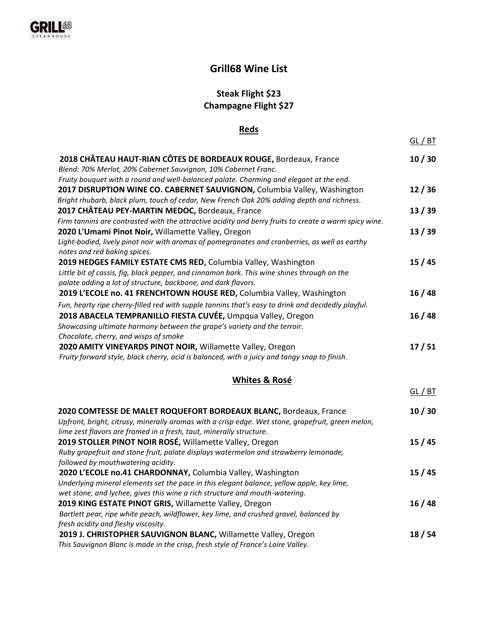# **Grill68 Wine List**

# **Steak Flight \$23 Champagne Flight \$27**

### **Reds**

de la provincia de la construcción de la construcción de la construcción de la construcción de la construcción<br>En la construcción de la construcción de la construcción de la construcción de la construcción de la construcc

| 2018 CHÂTEAU HAUT-RIAN CÔTES DE BORDEAUX ROUGE, Bordeaux, France                                                                                         | 10/30   |
|----------------------------------------------------------------------------------------------------------------------------------------------------------|---------|
| Blend: 70% Merlot, 20% Cabernet Sauvignon, 10% Cabernet Franc.<br>Fruity bouquet with a round and well-balanced palate. Charming and elegant at the end. |         |
| 2017 DISRUPTION WINE CO. CABERNET SAUVIGNON, Columbia Valley, Washington                                                                                 | 12/36   |
| Bright rhubarb, black plum, touch of cedar, New French Oak 20% adding depth and richness.                                                                |         |
| 2017 CHÂTEAU PEY-MARTIN MEDOC, Bordeaux, France                                                                                                          | 13/39   |
| Firm tannins are contrasted with the attractive acidity and berry fruits to create a warm spicy wine.                                                    |         |
| 2020 L'Umami Pinot Noir, Willamette Valley, Oregon                                                                                                       | 13/39   |
| Light-bodied, lively pinot noir with aromas of pomegranates and cranberries, as well as earthy                                                           |         |
| notes and red baking spices.                                                                                                                             |         |
| 2019 HEDGES FAMILY ESTATE CMS RED, Columbia Valley, Washington                                                                                           | 15/45   |
| Little bit of cassis, fig, black pepper, and cinnamon bark. This wine shines through on the                                                              |         |
| palate adding a lot of structure, backbone, and dark flavors.                                                                                            |         |
| 2019 L'ECOLE no. 41 FRENCHTOWN HOUSE RED, Columbia Valley, Washington                                                                                    | 16/48   |
| Fun, hearty ripe cherry-filled red with supple tannins that's easy to drink and decidedly playful.                                                       |         |
| 2018 ABACELA TEMPRANILLO FIESTA CUVÉE, Umpqua Valley, Oregon                                                                                             | 16/48   |
| Showcasing ultimate harmony between the grape's variety and the terroir.                                                                                 |         |
| Chocolate, cherry, and wisps of smoke                                                                                                                    |         |
| 2020 AMITY VINEYARDS PINOT NOIR, Willamette Valley, Oregon                                                                                               | 17/51   |
| Fruity forward style, black cherry, acid is balanced, with a juicy and tangy snap to finish.                                                             |         |
|                                                                                                                                                          |         |
| <b>Whites &amp; Rosé</b>                                                                                                                                 |         |
|                                                                                                                                                          | GL / BT |
| 2020 COMTESSE DE MALET ROQUEFORT BORDEAUX BLANC, Bordeaux, France                                                                                        | 10/30   |
| Upfront, bright, citrusy, minerally aromas with a crisp edge. Wet stone, grapefruit, green melon,                                                        |         |
| lime zest flavors are framed in a fresh, taut, minerally structure.                                                                                      |         |
| 2019 STOLLER PINOT NOIR ROSÉ, Willamette Valley, Oregon                                                                                                  | 15/45   |
| Ruby grapefruit and stone fruit, palate displays watermelon and strawberry lemonade,                                                                     |         |
| followed by mouthwatering acidity.                                                                                                                       |         |
| 2020 L'ECOLE no.41 CHARDONNAY, Columbia Valley, Washington                                                                                               | 15/45   |
| Underlying mineral elements set the pace in this elegant balance, yellow apple, key lime,                                                                |         |
| wet stone, and lychee, gives this wine a rich structure and mouth-watering.                                                                              |         |
| 2019 KING ESTATE PINOT GRIS, Willamette Valley, Oregon                                                                                                   | 16/48   |
| Bartlett pear, ripe white peach, wildflower, key lime, and crushed gravel, balanced by                                                                   |         |
| fresh acidity and fleshy viscosity.                                                                                                                      |         |
| 2019 J. CHRISTOPHER SAUVIGNON BLANC, Willamette Valley, Oregon                                                                                           | 18/54   |
| This Sauvignon Blanc is made in the crisp, fresh style of France's Loire Valley.                                                                         |         |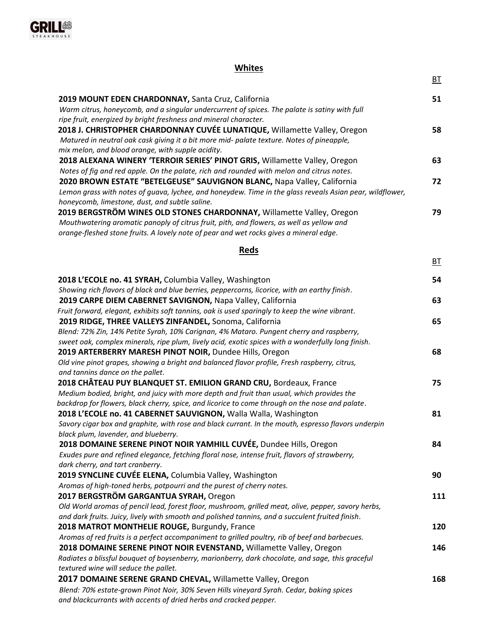

# **Whites**

<u>BT</u> and the contract of the contract of the contract of the contract of the contract of the contract of the contract of the contract of the contract of the contract of the contract of the contract of the contract of the c

| 2019 MOUNT EDEN CHARDONNAY, Santa Cruz, California                                                       | 51 |
|----------------------------------------------------------------------------------------------------------|----|
| Warm citrus, honeycomb, and a singular undercurrent of spices. The palate is satiny with full            |    |
| ripe fruit, energized by bright freshness and mineral character.                                         |    |
| 2018 J. CHRISTOPHER CHARDONNAY CUVÉE LUNATIQUE, Willamette Valley, Oregon                                | 58 |
| Matured in neutral oak cask giving it a bit more mid- palate texture. Notes of pineapple,                |    |
| mix melon, and blood orange, with supple acidity.                                                        |    |
| 2018 ALEXANA WINERY 'TERROIR SERIES' PINOT GRIS, Willamette Valley, Oregon                               | 63 |
| Notes of fig and red apple. On the palate, rich and rounded with melon and citrus notes.                 |    |
| 2020 BROWN ESTATE "BETELGEUSE" SAUVIGNON BLANC, Napa Valley, California                                  | 72 |
| Lemon grass with notes of guava, lychee, and honeydew. Time in the glass reveals Asian pear, wildflower, |    |
| honeycomb, limestone, dust, and subtle saline.                                                           |    |
| 2019 BERGSTRÖM WINES OLD STONES CHARDONNAY, Willamette Valley, Oregon                                    | 79 |
| Mouthwatering aromatic panoply of citrus fruit, pith, and flowers, as well as yellow and                 |    |
| orange-fleshed stone fruits. A lovely note of pear and wet rocks gives a mineral edge.                   |    |
|                                                                                                          |    |

#### **Reds**

BT

| 2018 L'ECOLE no. 41 SYRAH, Columbia Valley, Washington                                                                            | 54  |
|-----------------------------------------------------------------------------------------------------------------------------------|-----|
| Showing rich flavors of black and blue berries, peppercorns, licorice, with an earthy finish.                                     |     |
| 2019 CARPE DIEM CABERNET SAVIGNON, Napa Valley, California                                                                        | 63  |
| Fruit forward, elegant, exhibits soft tannins, oak is used sparingly to keep the wine vibrant.                                    |     |
| 2019 RIDGE, THREE VALLEYS ZINFANDEL, Sonoma, California                                                                           | 65  |
| Blend: 72% Zin, 14% Petite Syrah, 10% Carignan, 4% Mataro. Pungent cherry and raspberry,                                          |     |
| sweet oak, complex minerals, ripe plum, lively acid, exotic spices with a wonderfully long finish.                                |     |
| 2019 ARTERBERRY MARESH PINOT NOIR, Dundee Hills, Oregon                                                                           | 68  |
| Old vine pinot grapes, showing a bright and balanced flavor profile, Fresh raspberry, citrus,<br>and tannins dance on the pallet. |     |
| 2018 CHÂTEAU PUY BLANQUET ST. EMILION GRAND CRU, Bordeaux, France                                                                 | 75  |
| Medium bodied, bright, and juicy with more depth and fruit than usual, which provides the                                         |     |
| backdrop for flowers, black cherry, spice, and licorice to come through on the nose and palate.                                   |     |
| 2018 L'ECOLE no. 41 CABERNET SAUVIGNON, Walla Walla, Washington                                                                   | 81  |
| Savory cigar box and graphite, with rose and black currant. In the mouth, espresso flavors underpin                               |     |
| black plum, lavender, and blueberry.                                                                                              |     |
| 2018 DOMAINE SERENE PINOT NOIR YAMHILL CUVÉE, Dundee Hills, Oregon                                                                | 84  |
| Exudes pure and refined elegance, fetching floral nose, intense fruit, flavors of strawberry,                                     |     |
| dark cherry, and tart cranberry.                                                                                                  |     |
| 2019 SYNCLINE CUVÉE ELENA, Columbia Valley, Washington                                                                            | 90  |
| Aromas of high-toned herbs, potpourri and the purest of cherry notes.                                                             |     |
| 2017 BERGSTRÖM GARGANTUA SYRAH, Oregon                                                                                            | 111 |
| Old World aromas of pencil lead, forest floor, mushroom, grilled meat, olive, pepper, savory herbs,                               |     |
| and dark fruits. Juicy, lively with smooth and polished tannins, and a succulent fruited finish.                                  |     |
| 2018 MATROT MONTHELIE ROUGE, Burgundy, France                                                                                     | 120 |
| Aromas of red fruits is a perfect accompaniment to grilled poultry, rib of beef and barbecues.                                    |     |
| 2018 DOMAINE SERENE PINOT NOIR EVENSTAND, Willamette Valley, Oregon                                                               | 146 |
| Radiates a blissful bouquet of boysenberry, marionberry, dark chocolate, and sage, this graceful                                  |     |
| textured wine will seduce the pallet.                                                                                             |     |
| 2017 DOMAINE SERENE GRAND CHEVAL, Willamette Valley, Oregon                                                                       | 168 |
| Blend: 70% estate-grown Pinot Noir, 30% Seven Hills vineyard Syrah. Cedar, baking spices                                          |     |
| and blackcurrants with accents of dried herbs and cracked pepper.                                                                 |     |